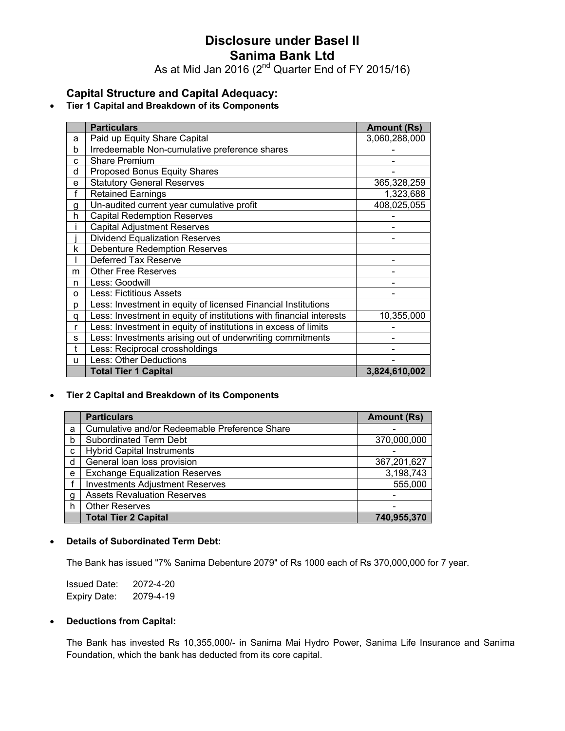**Disclosure under Basel II Sanima Bank Ltd** 

As at Mid Jan 2016  $(2^{nd}$  Quarter End of FY 2015/16)

# **Capital Structure and Capital Adequacy:**

### • **Tier 1 Capital and Breakdown of its Components**

|   | <b>Particulars</b>                                                  | <b>Amount (Rs)</b> |
|---|---------------------------------------------------------------------|--------------------|
| a | Paid up Equity Share Capital                                        | 3,060,288,000      |
| b | Irredeemable Non-cumulative preference shares                       |                    |
| C | <b>Share Premium</b>                                                |                    |
| d | <b>Proposed Bonus Equity Shares</b>                                 |                    |
| e | <b>Statutory General Reserves</b>                                   | 365,328,259        |
| f | <b>Retained Earnings</b>                                            | 1,323,688          |
| g | Un-audited current year cumulative profit                           | 408,025,055        |
| h | <b>Capital Redemption Reserves</b>                                  |                    |
|   | <b>Capital Adjustment Reserves</b>                                  |                    |
|   | <b>Dividend Equalization Reserves</b>                               |                    |
| k | <b>Debenture Redemption Reserves</b>                                |                    |
|   | Deferred Tax Reserve                                                |                    |
| m | <b>Other Free Reserves</b>                                          |                    |
| n | Less: Goodwill                                                      |                    |
| O | <b>Less: Fictitious Assets</b>                                      |                    |
| р | Less: Investment in equity of licensed Financial Institutions       |                    |
| q | Less: Investment in equity of institutions with financial interests | 10,355,000         |
| r | Less: Investment in equity of institutions in excess of limits      |                    |
| s | Less: Investments arising out of underwriting commitments           |                    |
| t | Less: Reciprocal crossholdings                                      |                    |
| u | <b>Less: Other Deductions</b>                                       |                    |
|   | <b>Total Tier 1 Capital</b>                                         | 3,824,610,002      |

### • **Tier 2 Capital and Breakdown of its Components**

|             | <b>Particulars</b>                            | <b>Amount (Rs)</b> |
|-------------|-----------------------------------------------|--------------------|
| a           | Cumulative and/or Redeemable Preference Share |                    |
| $\mathbf b$ | <b>Subordinated Term Debt</b>                 | 370,000,000        |
| C           | <b>Hybrid Capital Instruments</b>             |                    |
| d           | General loan loss provision                   | 367,201,627        |
| e           | <b>Exchange Equalization Reserves</b>         | 3,198,743          |
|             | <b>Investments Adjustment Reserves</b>        | 555,000            |
| g           | <b>Assets Revaluation Reserves</b>            |                    |
| h           | <b>Other Reserves</b>                         |                    |
|             | <b>Total Tier 2 Capital</b>                   | 740,955,370        |

#### • **Details of Subordinated Term Debt:**

The Bank has issued "7% Sanima Debenture 2079" of Rs 1000 each of Rs 370,000,000 for 7 year.

Issued Date: 2072-4-20 Expiry Date: 2079-4-19

#### • **Deductions from Capital:**

The Bank has invested Rs 10,355,000/- in Sanima Mai Hydro Power, Sanima Life Insurance and Sanima Foundation, which the bank has deducted from its core capital.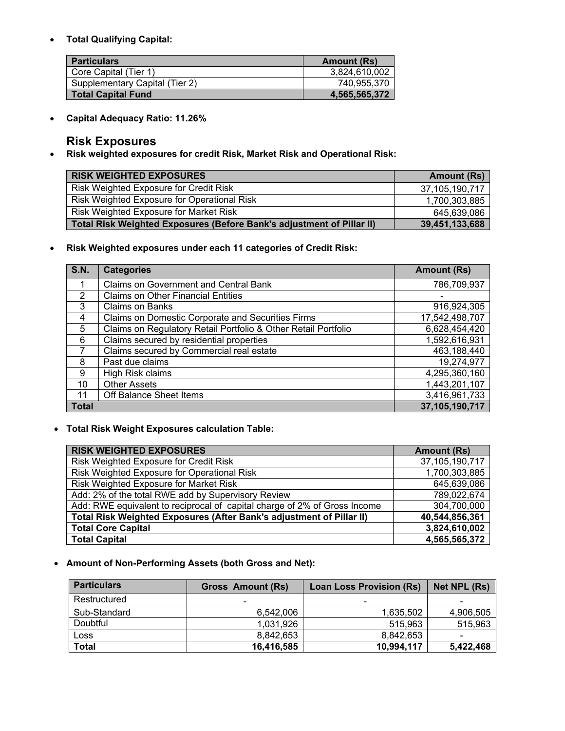### • **Total Qualifying Capital:**

| <b>Particulars</b>             | <b>Amount (Rs)</b> |
|--------------------------------|--------------------|
| Core Capital (Tier 1)          | 3.824.610.002      |
| Supplementary Capital (Tier 2) | 740,955,370        |
| <b>Total Capital Fund</b>      | 4,565,565,372      |

• **Capital Adequacy Ratio: 11.26%** 

# **Risk Exposures**

• **Risk weighted exposures for credit Risk, Market Risk and Operational Risk:** 

| <b>RISK WEIGHTED EXPOSURES</b>                                        | <b>Amount (Rs)</b> |
|-----------------------------------------------------------------------|--------------------|
| Risk Weighted Exposure for Credit Risk                                | 37,105,190,717     |
| Risk Weighted Exposure for Operational Risk                           | 1,700,303,885      |
| Risk Weighted Exposure for Market Risk                                | 645,639,086        |
| Total Risk Weighted Exposures (Before Bank's adjustment of Pillar II) | 39,451,133,688     |

### • **Risk Weighted exposures under each 11 categories of Credit Risk:**

| <b>S.N.</b>    | <b>Categories</b>                                              | <b>Amount (Rs)</b> |
|----------------|----------------------------------------------------------------|--------------------|
|                | <b>Claims on Government and Central Bank</b>                   | 786,709,937        |
| $\mathcal{P}$  | <b>Claims on Other Financial Entities</b>                      |                    |
| 3              | Claims on Banks                                                | 916,924,305        |
| 4              | Claims on Domestic Corporate and Securities Firms              | 17,542,498,707     |
| 5              | Claims on Regulatory Retail Portfolio & Other Retail Portfolio | 6,628,454,420      |
| 6              | Claims secured by residential properties                       | 1,592,616,931      |
| $\overline{7}$ | Claims secured by Commercial real estate                       | 463,188,440        |
| 8              | Past due claims                                                | 19,274,977         |
| 9              | High Risk claims                                               | 4,295,360,160      |
| 10             | <b>Other Assets</b>                                            | 1,443,201,107      |
| 11             | Off Balance Sheet Items                                        | 3,416,961,733      |
| <b>Total</b>   |                                                                | 37,105,190,717     |

# • **Total Risk Weight Exposures calculation Table:**

| <b>RISK WEIGHTED EXPOSURES</b>                                            | <b>Amount (Rs)</b> |
|---------------------------------------------------------------------------|--------------------|
| Risk Weighted Exposure for Credit Risk                                    | 37,105,190,717     |
| Risk Weighted Exposure for Operational Risk                               | 1,700,303,885      |
| Risk Weighted Exposure for Market Risk                                    | 645,639,086        |
| Add: 2% of the total RWE add by Supervisory Review                        | 789,022,674        |
| Add: RWE equivalent to reciprocal of capital charge of 2% of Gross Income | 304,700,000        |
| Total Risk Weighted Exposures (After Bank's adjustment of Pillar II)      | 40,544,856,361     |
| <b>Total Core Capital</b>                                                 | 3,824,610,002      |
| <b>Total Capital</b>                                                      | 4,565,565,372      |

### • **Amount of Non-Performing Assets (both Gross and Net):**

| <b>Particulars</b> | <b>Gross Amount (Rs)</b> | <b>Loan Loss Provision (Rs)</b> | Net NPL (Rs) |
|--------------------|--------------------------|---------------------------------|--------------|
| Restructured       |                          |                                 |              |
| Sub-Standard       | 6.542.006                | 1,635,502                       | 4,906,505    |
| Doubtful           | 1,031,926                | 515.963                         | 515,963      |
| Loss               | 8,842,653                | 8,842,653                       |              |
| <b>Total</b>       | 16,416,585               | 10.994.117                      | 5,422,468    |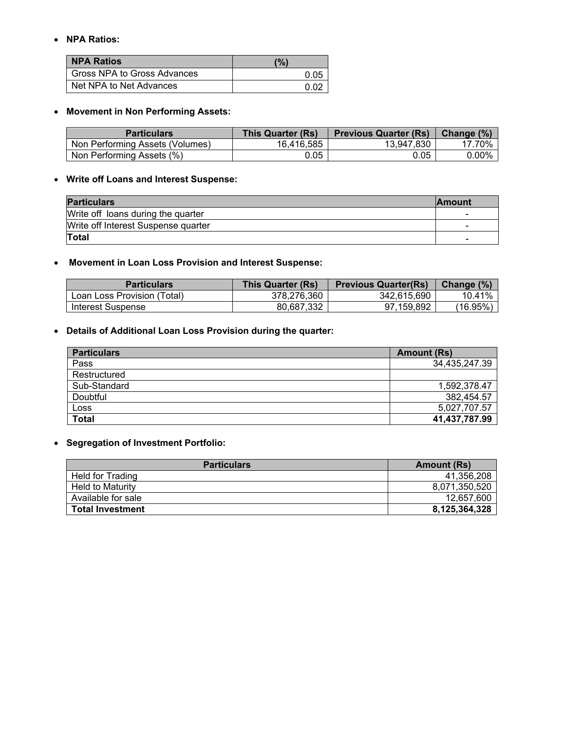### • **NPA Ratios:**

| <b>NPA Ratios</b>           | (%)  |
|-----------------------------|------|
| Gross NPA to Gross Advances | 0.05 |
| Net NPA to Net Advances     |      |

## • **Movement in Non Performing Assets:**

| <b>Particulars</b>              | This Quarter (Rs) | <b>Previous Quarter (Rs)</b> | Change $(\%)$ |
|---------------------------------|-------------------|------------------------------|---------------|
| Non Performing Assets (Volumes) | 16.416.585        | 13.947.830                   | 17.70%        |
| Non Performing Assets (%)       | 0.05              | 0.05                         | $0.00\%$      |

# • **Write off Loans and Interest Suspense:**

| <b>Particulars</b>                  | <b>Amount</b> |
|-------------------------------------|---------------|
| Write off loans during the quarter  |               |
| Write off Interest Suspense quarter | -             |
| <b>Total</b>                        | -             |

# • **Movement in Loan Loss Provision and Interest Suspense:**

| <b>Particulars</b>          | This Quarter (Rs) | <b>Previous Quarter(Rs)</b> | Change (%)  |
|-----------------------------|-------------------|-----------------------------|-------------|
| Loan Loss Provision (Total) | 378,276,360       | 342.615.690                 | 10.41%      |
| Interest Suspense           | 80.687.332        | 97.159.892                  | $(16.95\%)$ |

## • **Details of Additional Loan Loss Provision during the quarter:**

| <b>Particulars</b> | <b>Amount (Rs)</b> |
|--------------------|--------------------|
| Pass               | 34,435,247.39      |
| Restructured       |                    |
| Sub-Standard       | 1,592,378.47       |
| Doubtful           | 382,454.57         |
| Loss               | 5,027,707.57       |
| <b>Total</b>       | 41,437,787.99      |

# • **Segregation of Investment Portfolio:**

| <b>Particulars</b>      | Amount (Rs)   |
|-------------------------|---------------|
| Held for Trading        | 41.356.208    |
| <b>Held to Maturity</b> | 8.071.350.520 |
| Available for sale      | 12.657.600    |
| <b>Total Investment</b> | 8,125,364,328 |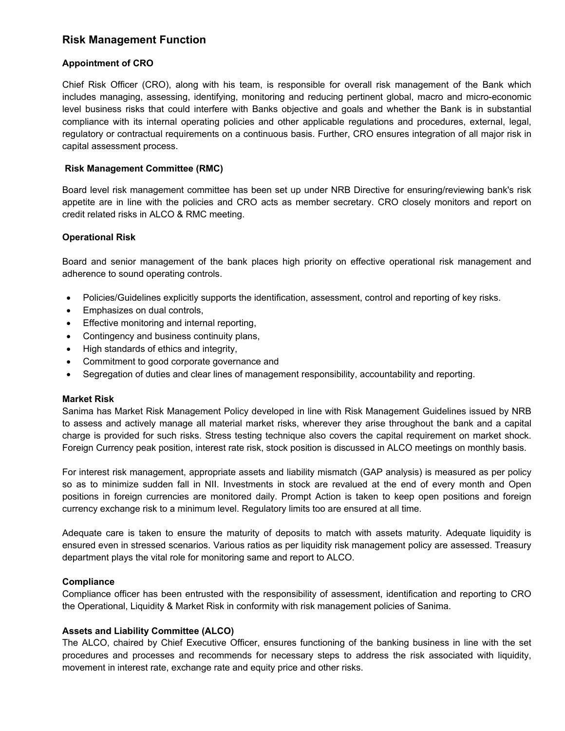# **Risk Management Function**

## **Appointment of CRO**

Chief Risk Officer (CRO), along with his team, is responsible for overall risk management of the Bank which includes managing, assessing, identifying, monitoring and reducing pertinent global, macro and micro-economic level business risks that could interfere with Banks objective and goals and whether the Bank is in substantial compliance with its internal operating policies and other applicable regulations and procedures, external, legal, regulatory or contractual requirements on a continuous basis. Further, CRO ensures integration of all major risk in capital assessment process.

### **Risk Management Committee (RMC)**

Board level risk management committee has been set up under NRB Directive for ensuring/reviewing bank's risk appetite are in line with the policies and CRO acts as member secretary. CRO closely monitors and report on credit related risks in ALCO & RMC meeting.

## **Operational Risk**

Board and senior management of the bank places high priority on effective operational risk management and adherence to sound operating controls.

- Policies/Guidelines explicitly supports the identification, assessment, control and reporting of key risks.
- Emphasizes on dual controls,
- Effective monitoring and internal reporting,
- Contingency and business continuity plans,
- High standards of ethics and integrity,
- Commitment to good corporate governance and
- Segregation of duties and clear lines of management responsibility, accountability and reporting.

### **Market Risk**

Sanima has Market Risk Management Policy developed in line with Risk Management Guidelines issued by NRB to assess and actively manage all material market risks, wherever they arise throughout the bank and a capital charge is provided for such risks. Stress testing technique also covers the capital requirement on market shock. Foreign Currency peak position, interest rate risk, stock position is discussed in ALCO meetings on monthly basis.

For interest risk management, appropriate assets and liability mismatch (GAP analysis) is measured as per policy so as to minimize sudden fall in NII. Investments in stock are revalued at the end of every month and Open positions in foreign currencies are monitored daily. Prompt Action is taken to keep open positions and foreign currency exchange risk to a minimum level. Regulatory limits too are ensured at all time.

Adequate care is taken to ensure the maturity of deposits to match with assets maturity. Adequate liquidity is ensured even in stressed scenarios. Various ratios as per liquidity risk management policy are assessed. Treasury department plays the vital role for monitoring same and report to ALCO.

### **Compliance**

Compliance officer has been entrusted with the responsibility of assessment, identification and reporting to CRO the Operational, Liquidity & Market Risk in conformity with risk management policies of Sanima.

### **Assets and Liability Committee (ALCO)**

The ALCO, chaired by Chief Executive Officer, ensures functioning of the banking business in line with the set procedures and processes and recommends for necessary steps to address the risk associated with liquidity, movement in interest rate, exchange rate and equity price and other risks.